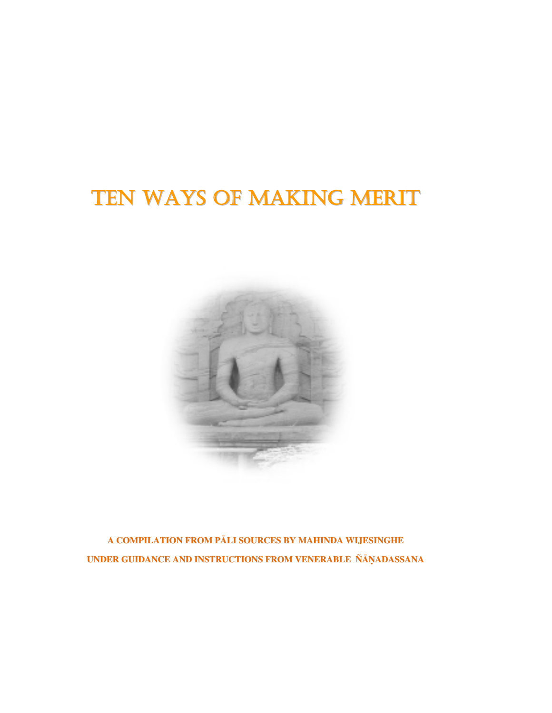# TEN WAYS OF MAKING MERIT



**A COMPILATION FROM PĀLI SOURCES BY MAHINDA WIJESINGHE UNDER GUIDANCE AND INSTRUCTIONS FROM VENERABLE ÑĀöADASSANA**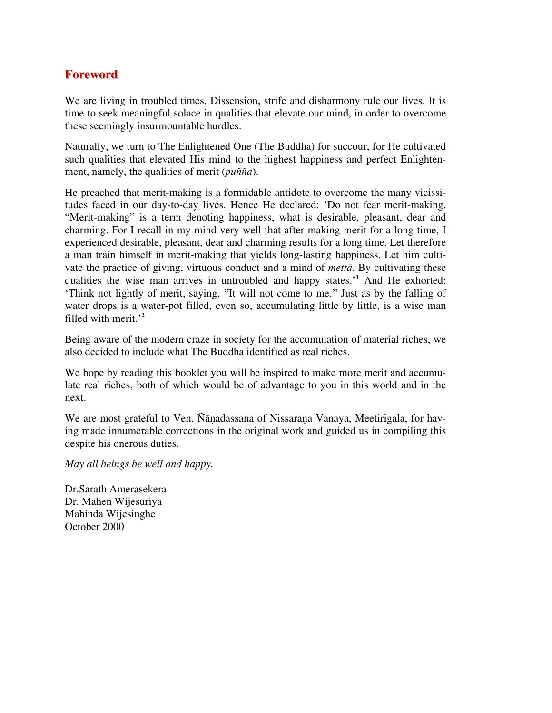### **Foreword**

We are living in troubled times. Dissension, strife and disharmony rule our lives. It is time to seek meaningful solace in qualities that elevate our mind, in order to overcome these seemingly insurmountable hurdles.

Naturally, we turn to The Enlightened One (The Buddha) for succour, for He cultivated such qualities that elevated His mind to the highest happiness and perfect Enlightenment, namely, the qualities of merit (*puñña*).

He preached that merit-making is a formidable antidote to overcome the many vicissitudes faced in our day-to-day lives. Hence He declared: 'Do not fear merit-making. "Merit-making" is a term denoting happiness, what is desirable, pleasant, dear and charming. For I recall in my mind very well that after making merit for a long time, I experienced desirable, pleasant, dear and charming results for a long time. Let therefore a man train himself in merit-making that yields long-lasting happiness. Let him cultivate the practice of giving, virtuous conduct and a mind of *mettā*. By cultivating these qualities the wise man arrives in untroubled and happy states.'**<sup>1</sup>** And He exhorted: 'Think not lightly of merit, saying, ʽʽIt will not come to me.'' Just as by the falling of water drops is a water-pot filled, even so, accumulating little by little, is a wise man filled with merit.'**<sup>2</sup>**

Being aware of the modern craze in society for the accumulation of material riches, we also decided to include what The Buddha identified as real riches.

We hope by reading this booklet you will be inspired to make more merit and accumulate real riches, both of which would be of advantage to you in this world and in the next.

We are most grateful to Ven. Ñānadassana of Nissaraṇa Vanaya, Meetirigala, for having made innumerable corrections in the original work and guided us in compiling this despite his onerous duties.

*May all beings be well and happy.* 

Dr.Sarath Amerasekera Dr. Mahen Wijesuriya Mahinda Wijesinghe October 2000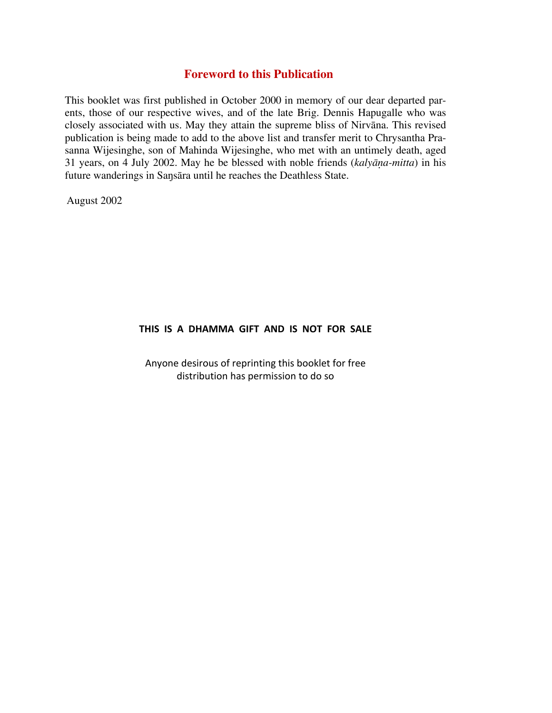#### **Foreword to this Publication**

This booklet was first published in October 2000 in memory of our dear departed parents, those of our respective wives, and of the late Brig. Dennis Hapugalle who was closely associated with us. May they attain the supreme bliss of Nirvāna. This revised publication is being made to add to the above list and transfer merit to Chrysantha Prasanna Wijesinghe, son of Mahinda Wijesinghe, who met with an untimely death, aged 31 years, on 4 July 2002. May he be blessed with noble friends (*kalyāõa-mitta*) in his future wanderings in Saŋsāra until he reaches the Deathless State.

August 2002

#### **THIS IS A DHAMMA GIFT AND IS NOT FOR SALE**

Anyone desirous of reprinting this booklet for free distribution has permission to do so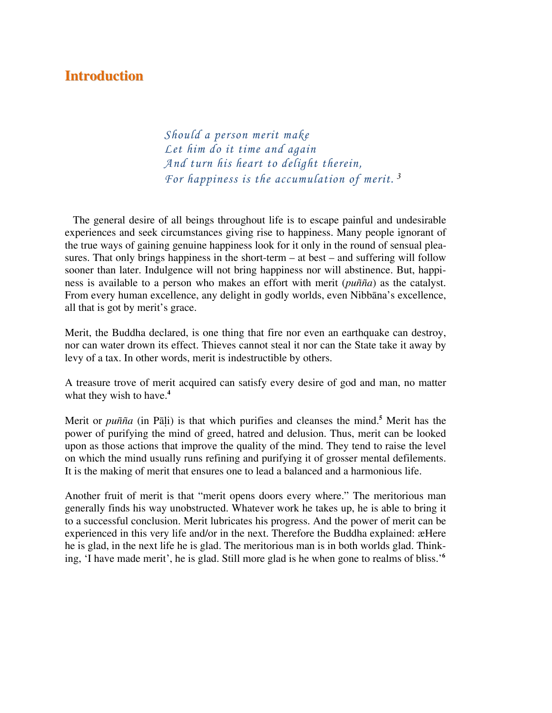### **Introduction**

*Should a person merit make Let him do it time and again And turn his heart to delight therein, For happiness is the accumulation of merit.<sup>3</sup>*

 The general desire of all beings throughout life is to escape painful and undesirable experiences and seek circumstances giving rise to happiness. Many people ignorant of the true ways of gaining genuine happiness look for it only in the round of sensual pleasures. That only brings happiness in the short-term – at best – and suffering will follow sooner than later. Indulgence will not bring happiness nor will abstinence. But, happiness is available to a person who makes an effort with merit (*puñña*) as the catalyst. From every human excellence, any delight in godly worlds, even Nibbāna's excellence, all that is got by merit's grace.

Merit, the Buddha declared, is one thing that fire nor even an earthquake can destroy, nor can water drown its effect. Thieves cannot steal it nor can the State take it away by levy of a tax. In other words, merit is indestructible by others.

A treasure trove of merit acquired can satisfy every desire of god and man, no matter what they wish to have.**<sup>4</sup>**

Merit or *puñña* (in Pāļi) is that which purifies and cleanses the mind.<sup>5</sup> Merit has the power of purifying the mind of greed, hatred and delusion. Thus, merit can be looked upon as those actions that improve the quality of the mind. They tend to raise the level on which the mind usually runs refining and purifying it of grosser mental defilements. It is the making of merit that ensures one to lead a balanced and a harmonious life.

Another fruit of merit is that "merit opens doors every where." The meritorious man generally finds his way unobstructed. Whatever work he takes up, he is able to bring it to a successful conclusion. Merit lubricates his progress. And the power of merit can be experienced in this very life and/or in the next. Therefore the Buddha explained: æHere he is glad, in the next life he is glad. The meritorious man is in both worlds glad. Thinking, 'I have made merit', he is glad. Still more glad is he when gone to realms of bliss.'**<sup>6</sup>**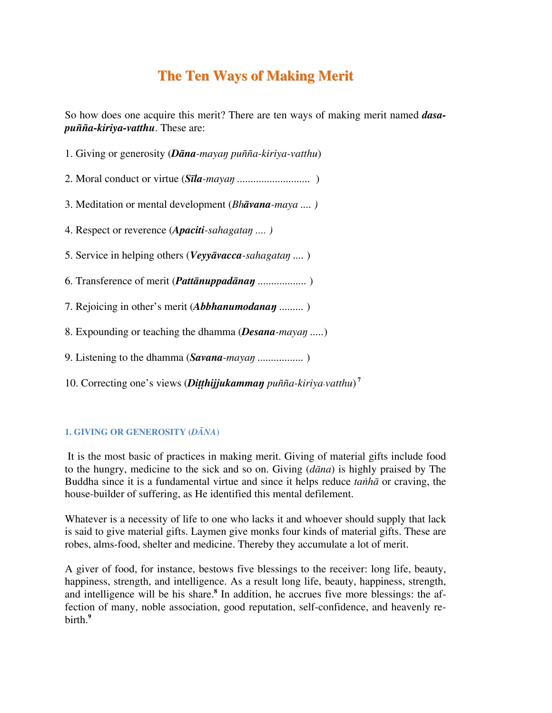## **The Ten Ways of Making Merit**

So how does one acquire this merit? There are ten ways of making merit named *dasapuñña-kiriya-vatthu*. These are:

1. Giving or generosity (*Dāna-mayaŋ puñña-kiriya-vatthu*)

2. Moral conduct or virtue (*Sīla-mayaŋ ...........................* )

3. Meditation or mental development (*Bhāvana-maya .... )* 

4. Respect or reverence (*Apaciti-sahagataŋ .... )* 

5. Service in helping others (*Veyyāvacca-sahagataŋ ....* )

6. Transference of merit (*Pattānuppadānaŋ ..................* )

7. Rejoicing in other's merit (*Abbhanumodanaŋ .........* )

8. Expounding or teaching the dhamma (*Desana-mayaŋ .....*)

9. Listening to the dhamma (*Savana-mayaŋ .................* )

10. Correcting one's views (*Ditthijjukammaŋ puñña-kiriya-vatthu*)<sup>7</sup>

#### **1. GIVING OR GENEROSITY (***DĀNA***)**

 It is the most basic of practices in making merit. Giving of material gifts include food to the hungry, medicine to the sick and so on. Giving (*dāna*) is highly praised by The Buddha since it is a fundamental virtue and since it helps reduce *taïhā* or craving, the house-builder of suffering, as He identified this mental defilement.

Whatever is a necessity of life to one who lacks it and whoever should supply that lack is said to give material gifts. Laymen give monks four kinds of material gifts. These are robes, alms-food, shelter and medicine. Thereby they accumulate a lot of merit.

A giver of food, for instance, bestows five blessings to the receiver: long life, beauty, happiness, strength, and intelligence. As a result long life, beauty, happiness, strength, and intelligence will be his share.**<sup>8</sup>** In addition, he accrues five more blessings: the affection of many, noble association, good reputation, self-confidence, and heavenly rebirth.**<sup>9</sup>**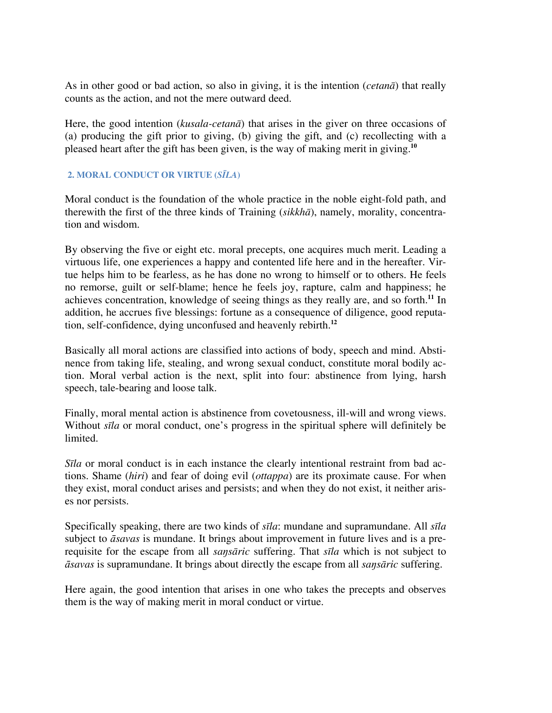As in other good or bad action, so also in giving, it is the intention (*cetanā*) that really counts as the action, and not the mere outward deed.

Here, the good intention (*kusala-cetanā*) that arises in the giver on three occasions of (a) producing the gift prior to giving, (b) giving the gift, and (c) recollecting with a pleased heart after the gift has been given, is the way of making merit in giving.**<sup>10</sup>**

#### **2. MORAL CONDUCT OR VIRTUE (***SĪLA***)**

Moral conduct is the foundation of the whole practice in the noble eight-fold path, and therewith the first of the three kinds of Training (*sikkhā*), namely, morality, concentration and wisdom.

By observing the five or eight etc. moral precepts, one acquires much merit. Leading a virtuous life, one experiences a happy and contented life here and in the hereafter. Virtue helps him to be fearless, as he has done no wrong to himself or to others. He feels no remorse, guilt or self-blame; hence he feels joy, rapture, calm and happiness; he achieves concentration, knowledge of seeing things as they really are, and so forth.**<sup>11</sup>** In addition, he accrues five blessings: fortune as a consequence of diligence, good reputation, self-confidence, dying unconfused and heavenly rebirth.**<sup>12</sup>**

Basically all moral actions are classified into actions of body, speech and mind. Abstinence from taking life, stealing, and wrong sexual conduct, constitute moral bodily action. Moral verbal action is the next, split into four: abstinence from lying, harsh speech, tale-bearing and loose talk.

Finally, moral mental action is abstinence from covetousness, ill-will and wrong views. Without *sīla* or moral conduct, one's progress in the spiritual sphere will definitely be limited.

*S<i>Ila* or moral conduct is in each instance the clearly intentional restraint from bad actions. Shame (*hiri*) and fear of doing evil (*ottappa*) are its proximate cause. For when they exist, moral conduct arises and persists; and when they do not exist, it neither arises nor persists.

Specifically speaking, there are two kinds of *sīla*: mundane and supramundane. All *sīla* subject to *āsavas* is mundane. It brings about improvement in future lives and is a prerequisite for the escape from all *saŋsāric* suffering. That *sīla* which is not subject to *āsavas* is supramundane. It brings about directly the escape from all *saŋsāric* suffering.

Here again, the good intention that arises in one who takes the precepts and observes them is the way of making merit in moral conduct or virtue.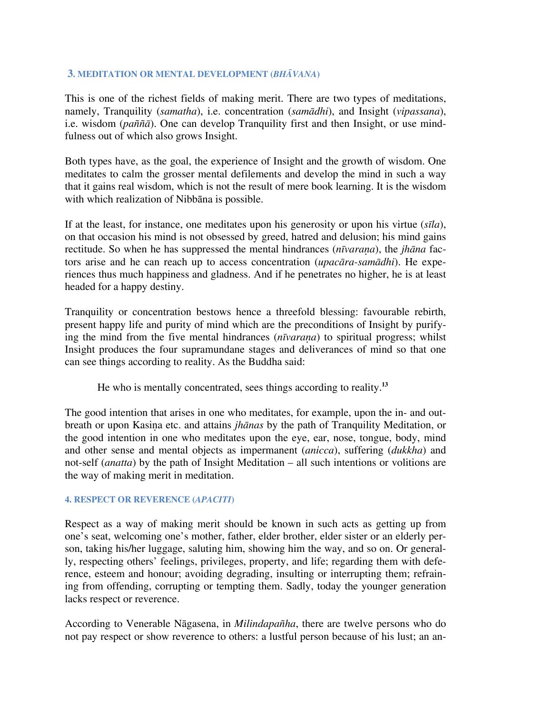#### **3. MEDITATION OR MENTAL DEVELOPMENT (***BHĀVANA***)**

This is one of the richest fields of making merit. There are two types of meditations, namely, Tranquility (*samatha*), i.e. concentration (*samādhi*), and Insight (*vipassana*), i.e. wisdom (*paññā*). One can develop Tranquility first and then Insight, or use mindfulness out of which also grows Insight.

Both types have, as the goal, the experience of Insight and the growth of wisdom. One meditates to calm the grosser mental defilements and develop the mind in such a way that it gains real wisdom, which is not the result of mere book learning. It is the wisdom with which realization of Nibbāna is possible.

If at the least, for instance, one meditates upon his generosity or upon his virtue (*sīla*), on that occasion his mind is not obsessed by greed, hatred and delusion; his mind gains rectitude. So when he has suppressed the mental hindrances (*nīvarana*), the *jhāna* factors arise and he can reach up to access concentration (*upacāra-samādhi*). He experiences thus much happiness and gladness. And if he penetrates no higher, he is at least headed for a happy destiny.

Tranquility or concentration bestows hence a threefold blessing: favourable rebirth, present happy life and purity of mind which are the preconditions of Insight by purifying the mind from the five mental hindrances  $(n\bar{v}v \cdot \bar{v})$  to spiritual progress; whilst Insight produces the four supramundane stages and deliverances of mind so that one can see things according to reality. As the Buddha said:

He who is mentally concentrated, sees things according to reality.**<sup>13</sup>**

The good intention that arises in one who meditates, for example, upon the in- and outbreath or upon Kasina etc. and attains *jhānas* by the path of Tranquility Meditation, or the good intention in one who meditates upon the eye, ear, nose, tongue, body, mind and other sense and mental objects as impermanent (*anicca*), suffering (*dukkha*) and not-self (*anatta*) by the path of Insight Meditation – all such intentions or volitions are the way of making merit in meditation.

#### **4. RESPECT OR REVERENCE (***APACITI***)**

Respect as a way of making merit should be known in such acts as getting up from one's seat, welcoming one's mother, father, elder brother, elder sister or an elderly person, taking his/her luggage, saluting him, showing him the way, and so on. Or generally, respecting others' feelings, privileges, property, and life; regarding them with deference, esteem and honour; avoiding degrading, insulting or interrupting them; refraining from offending, corrupting or tempting them. Sadly, today the younger generation lacks respect or reverence.

According to Venerable Nāgasena, in *Milindapañha*, there are twelve persons who do not pay respect or show reverence to others: a lustful person because of his lust; an an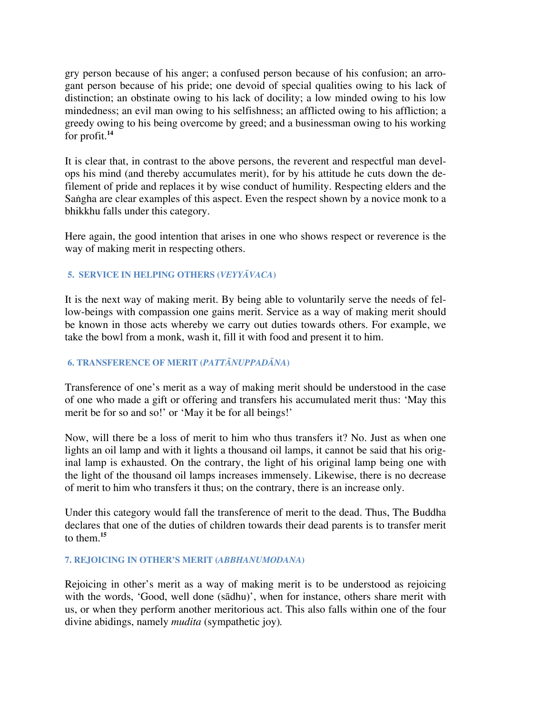gry person because of his anger; a confused person because of his confusion; an arrogant person because of his pride; one devoid of special qualities owing to his lack of distinction; an obstinate owing to his lack of docility; a low minded owing to his low mindedness; an evil man owing to his selfishness; an afflicted owing to his affliction; a greedy owing to his being overcome by greed; and a businessman owing to his working for profit.**<sup>14</sup>**

It is clear that, in contrast to the above persons, the reverent and respectful man develops his mind (and thereby accumulates merit), for by his attitude he cuts down the defilement of pride and replaces it by wise conduct of humility. Respecting elders and the Sangha are clear examples of this aspect. Even the respect shown by a novice monk to a bhikkhu falls under this category.

Here again, the good intention that arises in one who shows respect or reverence is the way of making merit in respecting others.

#### **5. SERVICE IN HELPING OTHERS (***VEYYĀVACA***)**

It is the next way of making merit. By being able to voluntarily serve the needs of fellow-beings with compassion one gains merit. Service as a way of making merit should be known in those acts whereby we carry out duties towards others. For example, we take the bowl from a monk, wash it, fill it with food and present it to him.

#### **6. TRANSFERENCE OF MERIT (***PATTĀNUPPADĀNA***)**

Transference of one's merit as a way of making merit should be understood in the case of one who made a gift or offering and transfers his accumulated merit thus: 'May this merit be for so and so!' or 'May it be for all beings!'

Now, will there be a loss of merit to him who thus transfers it? No. Just as when one lights an oil lamp and with it lights a thousand oil lamps, it cannot be said that his original lamp is exhausted. On the contrary, the light of his original lamp being one with the light of the thousand oil lamps increases immensely. Likewise, there is no decrease of merit to him who transfers it thus; on the contrary, there is an increase only.

Under this category would fall the transference of merit to the dead. Thus, The Buddha declares that one of the duties of children towards their dead parents is to transfer merit to them  $15$ 

#### **7. REJOICING IN OTHER'S MERIT (***ABBHANUMODANA***)**

Rejoicing in other's merit as a way of making merit is to be understood as rejoicing with the words, 'Good, well done (sādhu)', when for instance, others share merit with us, or when they perform another meritorious act. This also falls within one of the four divine abidings, namely *mudita* (sympathetic joy)*.*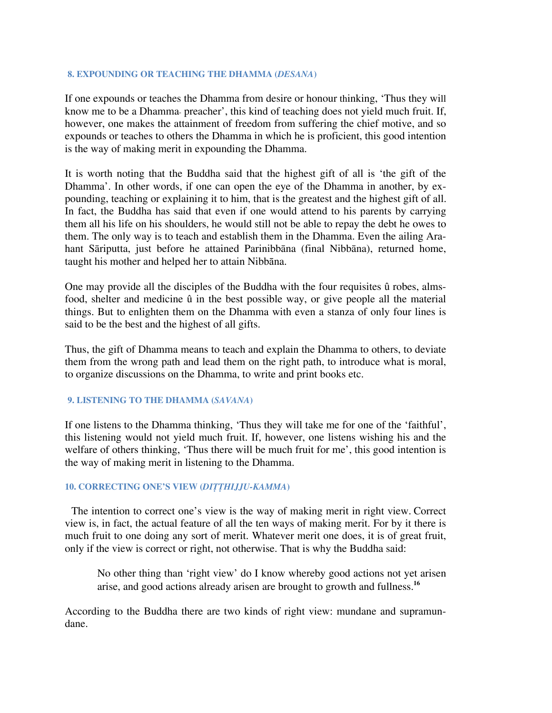#### **8. EXPOUNDING OR TEACHING THE DHAMMA (***DESANA***)**

If one expounds or teaches the Dhamma from desire or honour thinking, 'Thus they will know me to be a Dhamma- preacher', this kind of teaching does not yield much fruit. If, however, one makes the attainment of freedom from suffering the chief motive, and so expounds or teaches to others the Dhamma in which he is proficient, this good intention is the way of making merit in expounding the Dhamma.

It is worth noting that the Buddha said that the highest gift of all is 'the gift of the Dhamma'. In other words, if one can open the eye of the Dhamma in another, by expounding, teaching or explaining it to him, that is the greatest and the highest gift of all. In fact, the Buddha has said that even if one would attend to his parents by carrying them all his life on his shoulders, he would still not be able to repay the debt he owes to them. The only way is to teach and establish them in the Dhamma. Even the ailing Arahant Sāriputta, just before he attained Parinibbāna (final Nibbāna), returned home, taught his mother and helped her to attain Nibbāna.

One may provide all the disciples of the Buddha with the four requisites û robes, almsfood, shelter and medicine û in the best possible way, or give people all the material things. But to enlighten them on the Dhamma with even a stanza of only four lines is said to be the best and the highest of all gifts.

Thus, the gift of Dhamma means to teach and explain the Dhamma to others, to deviate them from the wrong path and lead them on the right path, to introduce what is moral, to organize discussions on the Dhamma, to write and print books etc.

#### **9. LISTENING TO THE DHAMMA (***SAVANA***)**

If one listens to the Dhamma thinking, 'Thus they will take me for one of the 'faithful', this listening would not yield much fruit. If, however, one listens wishing his and the welfare of others thinking, 'Thus there will be much fruit for me', this good intention is the way of making merit in listening to the Dhamma.

#### **10. CORRECTING ONE'S VIEW (***DITTHIJJU-KAMMA***)**

The intention to correct one's view is the way of making merit in right view. Correct view is, in fact, the actual feature of all the ten ways of making merit. For by it there is much fruit to one doing any sort of merit. Whatever merit one does, it is of great fruit, only if the view is correct or right, not otherwise. That is why the Buddha said:

No other thing than 'right view' do I know whereby good actions not yet arisen arise, and good actions already arisen are brought to growth and fullness.**<sup>16</sup>**

According to the Buddha there are two kinds of right view: mundane and supramundane.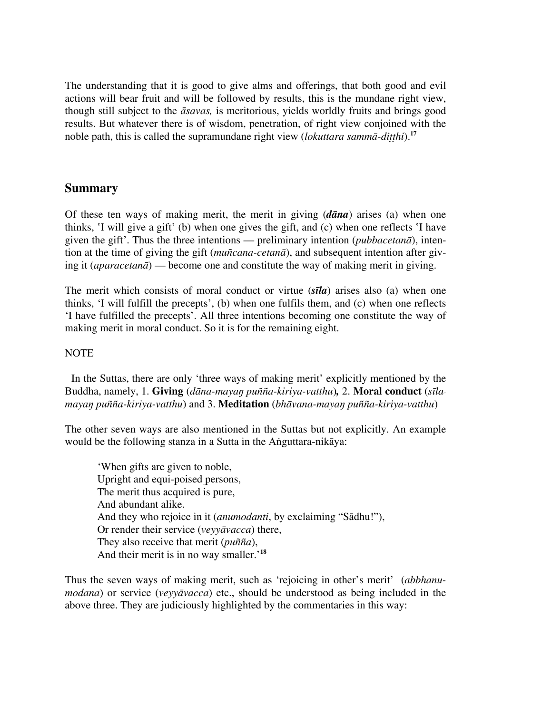The understanding that it is good to give alms and offerings, that both good and evil actions will bear fruit and will be followed by results, this is the mundane right view, though still subject to the *āsavas,* is meritorious, yields worldly fruits and brings good results. But whatever there is of wisdom, penetration, of right view conjoined with the noble path, this is called the supramundane right view (*lokuttara sammā-ditthi*).<sup>17</sup>

#### **Summary**

Of these ten ways of making merit, the merit in giving (*dāna*) arises (a) when one thinks, I will give a gift' (b) when one gives the gift, and (c) when one reflects I have given the gift'. Thus the three intentions — preliminary intention (*pubbacetanā*), intention at the time of giving the gift (*muñcana-cetanā*), and subsequent intention after giving it (*aparacetanā*) — become one and constitute the way of making merit in giving.

The merit which consists of moral conduct or virtue (*sīla*) arises also (a) when one thinks, 'I will fulfill the precepts', (b) when one fulfils them, and (c) when one reflects 'I have fulfilled the precepts'. All three intentions becoming one constitute the way of making merit in moral conduct. So it is for the remaining eight.

#### NOTE

In the Suttas, there are only 'three ways of making merit' explicitly mentioned by the Buddha, namely, 1. **Giving** (*dāna-mayaŋ puñña-kiriya-vatthu*)*,* 2. **Moral conduct** (*sīlamayaŋ puñña-kiriya-vatthu*) and 3. **Meditation** (*bhāvana-mayaŋ puñña-kiriya-vatthu*)

The other seven ways are also mentioned in the Suttas but not explicitly. An example would be the following stanza in a Sutta in the Anguttara-nikāya:

'When gifts are given to noble, Upright and equi-poised persons, The merit thus acquired is pure, And abundant alike. And they who rejoice in it (*anumodanti*, by exclaiming "Sādhu!"), Or render their service (*veyyāvacca*) there, They also receive that merit (*puñña*), And their merit is in no way smaller.'**<sup>18</sup>**

Thus the seven ways of making merit, such as 'rejoicing in other's merit' (*abbhanumodana*) or service (*veyyāvacca*) etc., should be understood as being included in the above three. They are judiciously highlighted by the commentaries in this way: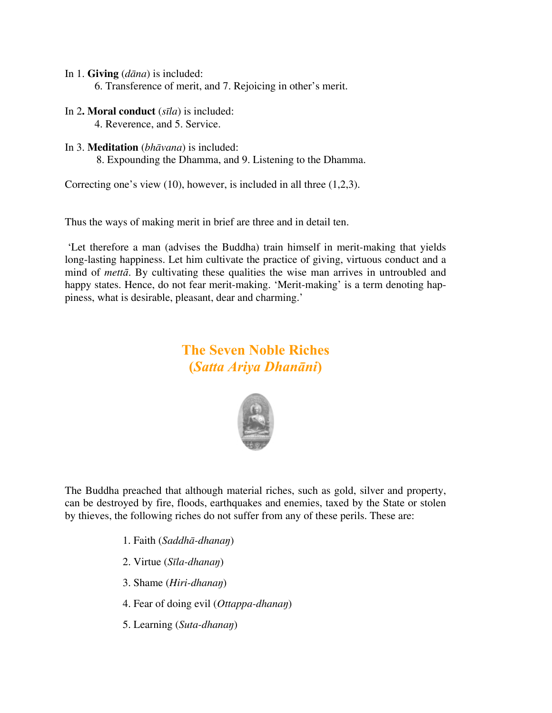- In 1. **Giving** (*dāna*) is included:
	- 6. Transference of merit, and 7. Rejoicing in other's merit.
- In 2**. Moral conduct** (*sīla*) is included: 4. Reverence, and 5. Service.
- In 3. **Meditation** (*bhāvana*) is included:

8. Expounding the Dhamma, and 9. Listening to the Dhamma.

Correcting one's view (10), however, is included in all three (1,2,3).

Thus the ways of making merit in brief are three and in detail ten.

 'Let therefore a man (advises the Buddha) train himself in merit-making that yields long-lasting happiness. Let him cultivate the practice of giving, virtuous conduct and a mind of *mettā*. By cultivating these qualities the wise man arrives in untroubled and happy states. Hence, do not fear merit-making. 'Merit-making' is a term denoting happiness, what is desirable, pleasant, dear and charming.'

# **The Seven Noble Riches (***Satta Ariya Dhanāni***)**



The Buddha preached that although material riches, such as gold, silver and property, can be destroyed by fire, floods, earthquakes and enemies, taxed by the State or stolen by thieves, the following riches do not suffer from any of these perils. These are:

- 1. Faith (*Saddhā-dhanaŋ*)
- 2. Virtue (*Sīla-dhanaŋ*)
- 3. Shame (*Hiri-dhanaŋ*)
- 4. Fear of doing evil (*Ottappa-dhanaŋ*)
- 5. Learning (*Suta-dhanaŋ*)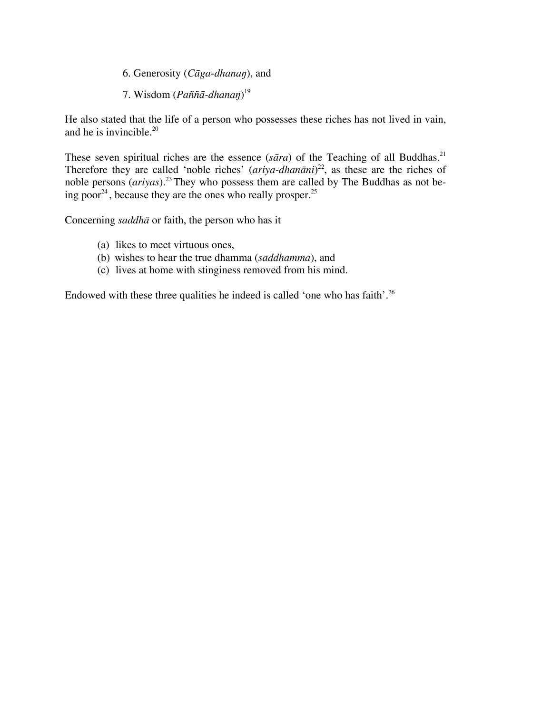- 6. Generosity (*Cāga-dhanaŋ*), and
- 7. Wisdom (*Paññā-dhanaŋ*) 19

He also stated that the life of a person who possesses these riches has not lived in vain, and he is invincible. $20$ 

These seven spiritual riches are the essence ( $s\bar{a}ra$ ) of the Teaching of all Buddhas.<sup>21</sup> Therefore they are called 'noble riches' (*ariya-dhanāni*) 22, as these are the riches of noble persons (*ariyas*).23 They who possess them are called by The Buddhas as not being poor<sup>24</sup>, because they are the ones who really prosper.<sup>25</sup>

Concerning *saddhā* or faith, the person who has it

- (a) likes to meet virtuous ones,
- (b) wishes to hear the true dhamma (*saddhamma*), and
- (c) lives at home with stinginess removed from his mind.

Endowed with these three qualities he indeed is called 'one who has faith'.<sup>26</sup>